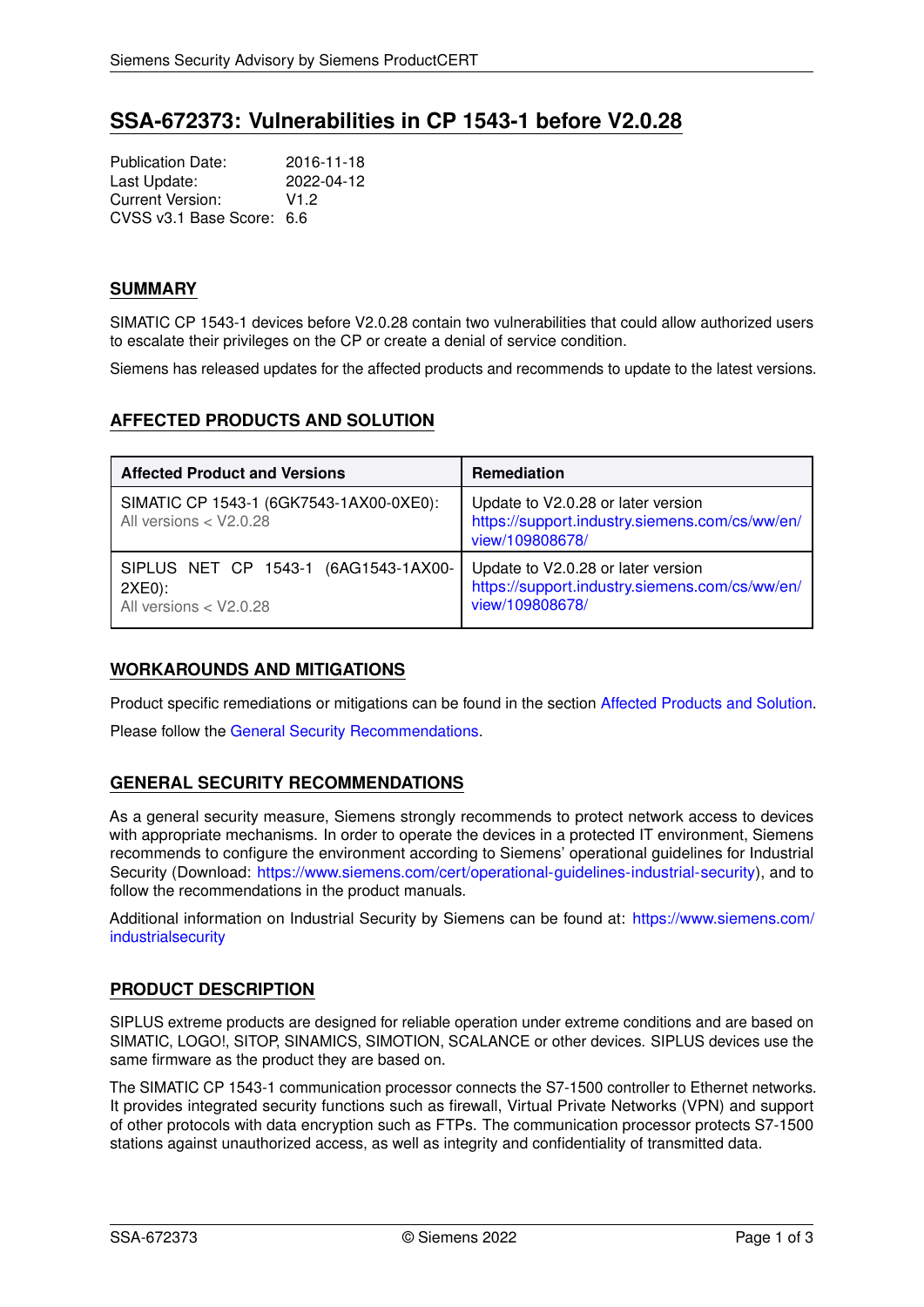# **SSA-672373: Vulnerabilities in CP 1543-1 before V2.0.28**

Publication Date: 2016-11-18<br>Last Update: 2022-04-12 Last Update: Current Version: V1.2 CVSS v3.1 Base Score: 6.6

### **SUMMARY**

SIMATIC CP 1543-1 devices before V2.0.28 contain two vulnerabilities that could allow authorized users to escalate their privileges on the CP or create a denial of service condition.

<span id="page-0-0"></span>Siemens has released updates for the affected products and recommends to update to the latest versions.

# **AFFECTED PRODUCTS AND SOLUTION**

| <b>Affected Product and Versions</b>                                       | <b>Remediation</b>                                                                                      |
|----------------------------------------------------------------------------|---------------------------------------------------------------------------------------------------------|
| SIMATIC CP 1543-1 (6GK7543-1AX00-0XE0):<br>All versions < V2.0.28          | Update to V2.0.28 or later version<br>https://support.industry.siemens.com/cs/ww/en/<br>view/109808678/ |
| SIPLUS NET CP 1543-1 (6AG1543-1AX00-<br>$2XE0$ :<br>All versions < V2.0.28 | Update to V2.0.28 or later version<br>https://support.industry.siemens.com/cs/ww/en/<br>view/109808678/ |

### **WORKAROUNDS AND MITIGATIONS**

Product specific remediations or mitigations can be found in the section [Affected Products and Solution.](#page-0-0)

<span id="page-0-1"></span>Please follow the [General Security Recommendations.](#page-0-1)

# **GENERAL SECURITY RECOMMENDATIONS**

As a general security measure, Siemens strongly recommends to protect network access to devices with appropriate mechanisms. In order to operate the devices in a protected IT environment, Siemens recommends to configure the environment according to Siemens' operational guidelines for Industrial Security (Download: [https://www.siemens.com/cert/operational-guidelines-industrial-security\)](https://www.siemens.com/cert/operational-guidelines-industrial-security), and to follow the recommendations in the product manuals.

Additional information on Industrial Security by Siemens can be found at: [https://www.siemens.com/](https://www.siemens.com/industrialsecurity) [industrialsecurity](https://www.siemens.com/industrialsecurity)

# **PRODUCT DESCRIPTION**

SIPLUS extreme products are designed for reliable operation under extreme conditions and are based on SIMATIC, LOGO!, SITOP, SINAMICS, SIMOTION, SCALANCE or other devices. SIPLUS devices use the same firmware as the product they are based on.

The SIMATIC CP 1543-1 communication processor connects the S7-1500 controller to Ethernet networks. It provides integrated security functions such as firewall, Virtual Private Networks (VPN) and support of other protocols with data encryption such as FTPs. The communication processor protects S7-1500 stations against unauthorized access, as well as integrity and confidentiality of transmitted data.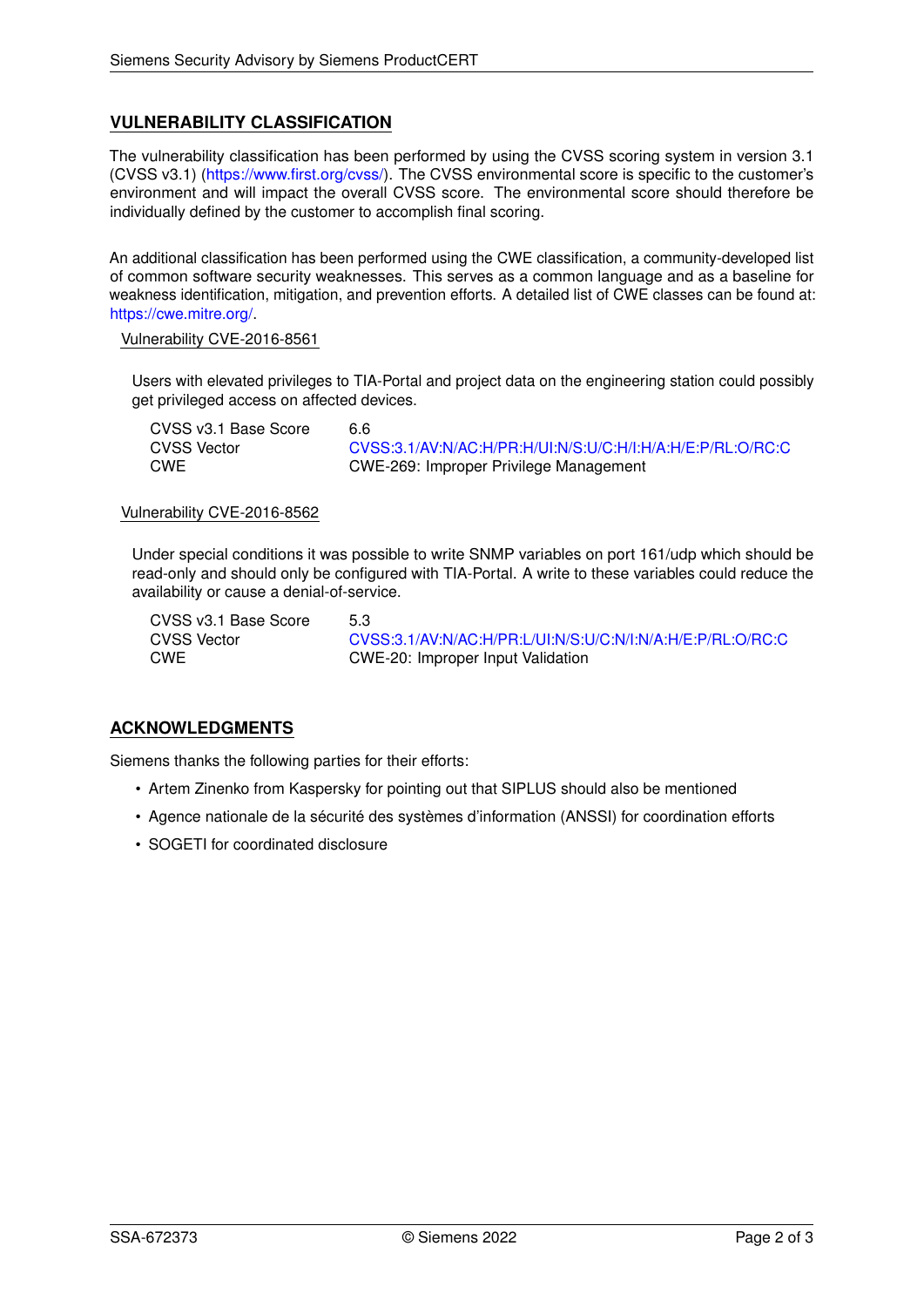# **VULNERABILITY CLASSIFICATION**

The vulnerability classification has been performed by using the CVSS scoring system in version 3.1 (CVSS v3.1) [\(https://www.first.org/cvss/\)](https://www.first.org/cvss/). The CVSS environmental score is specific to the customer's environment and will impact the overall CVSS score. The environmental score should therefore be individually defined by the customer to accomplish final scoring.

An additional classification has been performed using the CWE classification, a community-developed list of common software security weaknesses. This serves as a common language and as a baseline for weakness identification, mitigation, and prevention efforts. A detailed list of CWE classes can be found at: [https://cwe.mitre.org/.](https://cwe.mitre.org/)

#### Vulnerability CVE-2016-8561

Users with elevated privileges to TIA-Portal and project data on the engineering station could possibly get privileged access on affected devices.

| CVSS v3.1 Base Score | 6.6                                                        |
|----------------------|------------------------------------------------------------|
| <b>CVSS Vector</b>   | CVSS:3.1/AV:N/AC:H/PR:H/UI:N/S:U/C:H/I:H/A:H/E:P/RL:O/RC:C |
| <b>CWE</b>           | CWE-269: Improper Privilege Management                     |

#### Vulnerability CVE-2016-8562

Under special conditions it was possible to write SNMP variables on port 161/udp which should be read-only and should only be configured with TIA-Portal. A write to these variables could reduce the availability or cause a denial-of-service.

CVSS v3.1 Base Score 5.3

CVSS Vector [CVSS:3.1/AV:N/AC:H/PR:L/UI:N/S:U/C:N/I:N/A:H/E:P/RL:O/RC:C](https://www.first.org/cvss/calculator/3.1#CVSS:3.1/AV:N/AC:H/PR:L/UI:N/S:U/C:N/I:N/A:H/E:P/RL:O/RC:C) CWE CWE-20: Improper Input Validation

# **ACKNOWLEDGMENTS**

Siemens thanks the following parties for their efforts:

- Artem Zinenko from Kaspersky for pointing out that SIPLUS should also be mentioned
- Agence nationale de la sécurité des systèmes d'information (ANSSI) for coordination efforts
- SOGETI for coordinated disclosure